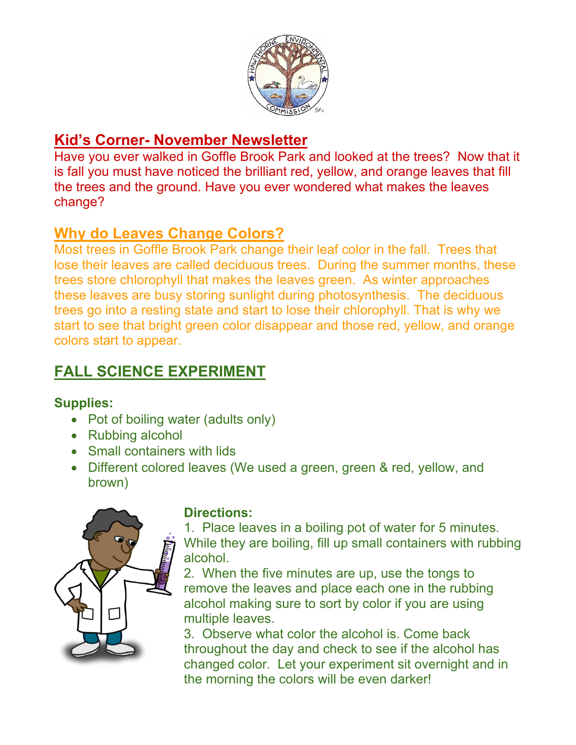

## **Kid's Corner- November Newsletter**

Have you ever walked in Goffle Brook Park and looked at the trees? Now that it is fall you must have noticed the brilliant red, yellow, and orange leaves that fill the trees and the ground. Have you ever wondered what makes the leaves change?

### **Why do Leaves Change Colors?**

Most trees in Goffle Brook Park change their leaf color in the fall. Trees that lose their leaves are called deciduous trees. During the summer months, these trees store chlorophyll that makes the leaves green. As winter approaches these leaves are busy storing sunlight during photosynthesis. The deciduous trees go into a resting state and start to lose their chlorophyll. That is why we start to see that bright green color disappear and those red, yellow, and orange colors start to appear.

# **FALL SCIENCE EXPERIMENT**

#### **Supplies:**

- Pot of boiling water (adults only)
- Rubbing alcohol
- Small containers with lids
- Different colored leaves (We used a green, green & red, yellow, and brown)



### **Directions:**

1. Place leaves in a boiling pot of water for 5 minutes. While they are boiling, fill up small containers with rubbing alcohol.

2. When the five minutes are up, use the tongs to remove the leaves and place each one in the rubbing alcohol making sure to sort by color if you are using multiple leaves.

3. Observe what color the alcohol is. Come back throughout the day and check to see if the alcohol has changed color. Let your experiment sit overnight and in the morning the colors will be even darker!